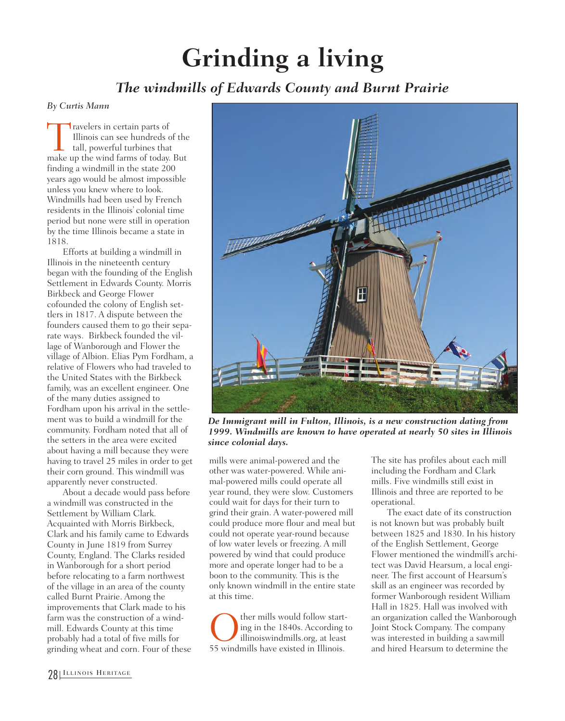## **Grinding a living**

## *The windmills of Edwards County and Burnt Prairie*

*By Curtis Mann*

Travelers in certain parts of<br>Illinois can see hundreds<br>tall, powerful turbines that<br>make up the wind farms of today Illinois can see hundreds of the tall, powerful turbines that make up the wind farms of today. But finding a windmill in the state 200 years ago would be almost impossible unless you knew where to look. Windmills had been used by French residents in the Illinois' colonial time period but none were still in operation by the time Illinois became a state in 1818.

Efforts at building a windmill in Illinois in the nineteenth century began with the founding of the English Settlement in Edwards County. Morris Birkbeck and George Flower cofounded the colony of English settlers in 1817. A dispute between the founders caused them to go their separate ways. Birkbeck founded the village of Wanborough and Flower the village of Albion. Elias Pym Fordham, a relative of Flowers who had traveled to the United States with the Birkbeck family, was an excellent engineer. One of the many duties assigned to Fordham upon his arrival in the settlement was to build a windmill for the community. Fordham noted that all of the setters in the area were excited about having a mill because they were having to travel 25 miles in order to get their corn ground. This windmill was apparently never constructed.

About a decade would pass before a windmill was constructed in the Settlement by William Clark. Acquainted with Morris Birkbeck, Clark and his family came to Edwards County in June 1819 from Surrey County, England. The Clarks resided in Wanborough for a short period before relocating to a farm northwest of the village in an area of the county called Burnt Prairie. Among the improvements that Clark made to his farm was the construction of a windmill. Edwards County at this time probably had a total of five mills for grinding wheat and corn. Four of these



*De Immigrant mill in Fulton, Illinois, is a new construction dating from 1999. Windmills are known to have operated at nearly 50 sites in Illinois since colonial days.*

mills were animal-powered and the other was water-powered. While animal-powered mills could operate all year round, they were slow. Customers could wait for days for their turn to grind their grain. A water-powered mill could produce more flour and meal but could not operate year-round because of low water levels or freezing. A mill powered by wind that could produce more and operate longer had to be a boon to the community. This is the only known windmill in the entire state at this time.

Other mills would follow starting in the 1840s. According the illinois<br>illinois windmills law existed in Illinois. ing in the 1840s. According to illinoiswindmills.org, at least

The site has profiles about each mill including the Fordham and Clark mills. Five windmills still exist in Illinois and three are reported to be operational.

The exact date of its construction is not known but was probably built between 1825 and 1830. In his history of the English Settlement, George Flower mentioned the windmill's architect was David Hearsum, a local engineer. The first account of Hearsum's skill as an engineer was recorded by former Wanborough resident William Hall in 1825. Hall was involved with an organization called the Wanborough Joint Stock Company. The company was interested in building a sawmill and hired Hearsum to determine the